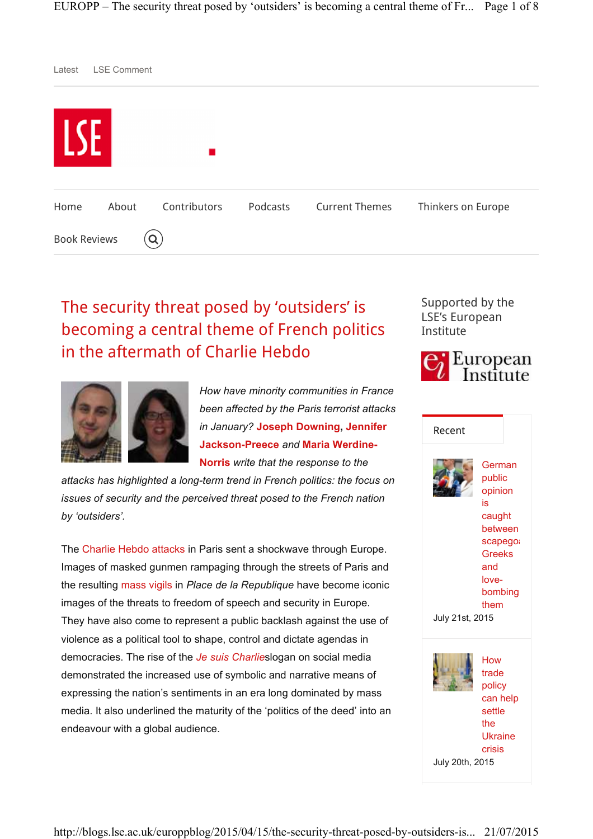

# The security threat posed by 'outsiders' is becoming a central theme of French politics in the aftermath of Charlie Hebdo



*How have minority communities in France been affected by the Paris terrorist attacks in January?* **Joseph Downing, Jennifer Jackson-Preece** *and* **Maria Werdine-Norris** *write that the response to the* 

*attacks has highlighted a long-term trend in French politics: the focus on issues of security and the perceived threat posed to the French nation by 'outsiders'.*

The Charlie Hebdo attacks in Paris sent a shockwave through Europe. Images of masked gunmen rampaging through the streets of Paris and the resulting mass vigils in *Place de la Republique* have become iconic images of the threats to freedom of speech and security in Europe. They have also come to represent a public backlash against the use of violence as a political tool to shape, control and dictate agendas in democracies. The rise of the *Je suis Charlie*slogan on social media demonstrated the increased use of symbolic and narrative means of expressing the nation's sentiments in an era long dominated by mass media. It also underlined the maturity of the 'politics of the deed' into an endeavour with a global audience.



Supported by the LSE's European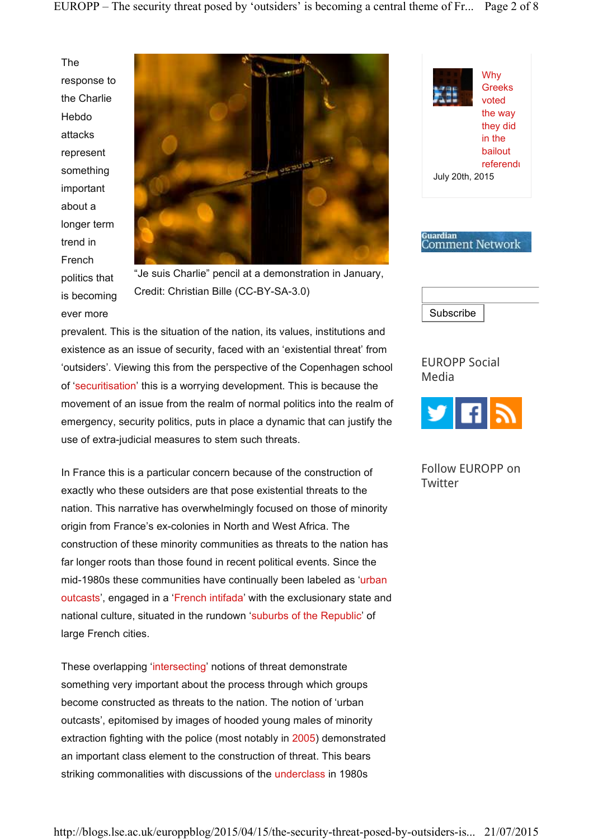The response to the Charlie Hebdo attacks represent something important about a longer term trend in French politics that is becoming ever more



"Je suis Charlie" pencil at a demonstration in January, Credit: Christian Bille (CC-BY-SA-3.0)

prevalent. This is the situation of the nation, its values, institutions and existence as an issue of security, faced with an 'existential threat' from 'outsiders'. Viewing this from the perspective of the Copenhagen school of 'securitisation' this is a worrying development. This is because the movement of an issue from the realm of normal politics into the realm of emergency, security politics, puts in place a dynamic that can justify the use of extra-judicial measures to stem such threats.

In France this is a particular concern because of the construction of exactly who these outsiders are that pose existential threats to the nation. This narrative has overwhelmingly focused on those of minority origin from France's ex-colonies in North and West Africa. The construction of these minority communities as threats to the nation has far longer roots than those found in recent political events. Since the mid-1980s these communities have continually been labeled as 'urban outcasts', engaged in a 'French intifada' with the exclusionary state and national culture, situated in the rundown 'suburbs of the Republic' of large French cities.

These overlapping 'intersecting' notions of threat demonstrate something very important about the process through which groups become constructed as threats to the nation. The notion of 'urban outcasts', epitomised by images of hooded young males of minority extraction fighting with the police (most notably in 2005) demonstrated an important class element to the construction of threat. This bears striking commonalities with discussions of the underclass in 1980s







EUROPP Social Media



Follow EUROPP on **Twitter**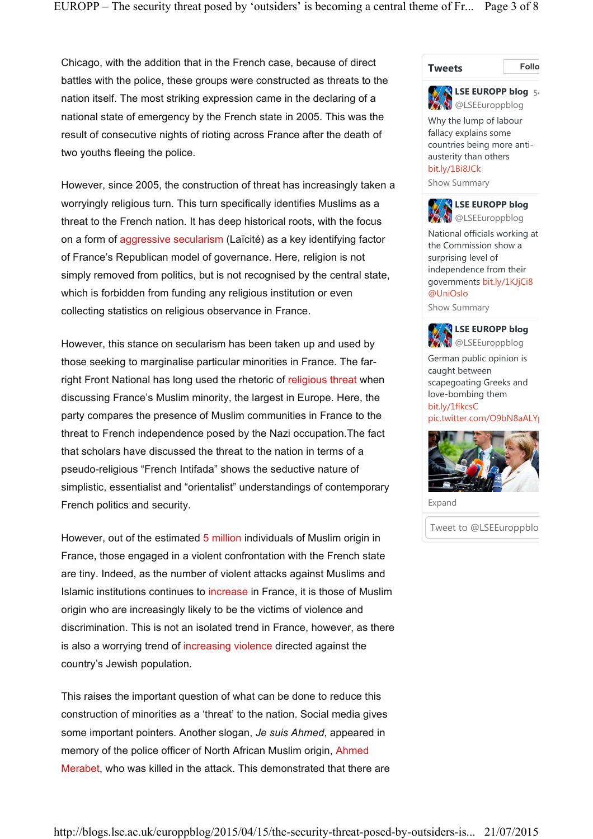Chicago, with the addition that in the French case, because of direct battles with the police, these groups were constructed as threats to the nation itself. The most striking expression came in the declaring of a national state of emergency by the French state in 2005. This was the result of consecutive nights of rioting across France after the death of two youths fleeing the police.

However, since 2005, the construction of threat has increasingly taken a worryingly religious turn. This turn specifically identifies Muslims as a threat to the French nation. It has deep historical roots, with the focus on a form of aggressive secularism (Laïcité) as a key identifying factor of France's Republican model of governance. Here, religion is not simply removed from politics, but is not recognised by the central state, which is forbidden from funding any religious institution or even collecting statistics on religious observance in France.

However, this stance on secularism has been taken up and used by those seeking to marginalise particular minorities in France. The farright Front National has long used the rhetoric of religious threat when discussing France's Muslim minority, the largest in Europe. Here, the party compares the presence of Muslim communities in France to the threat to French independence posed by the Nazi occupation.The fact that scholars have discussed the threat to the nation in terms of a pseudo-religious "French Intifada" shows the seductive nature of simplistic, essentialist and "orientalist" understandings of contemporary French politics and security.

However, out of the estimated 5 million individuals of Muslim origin in France, those engaged in a violent confrontation with the French state are tiny. Indeed, as the number of violent attacks against Muslims and Islamic institutions continues to increase in France, it is those of Muslim origin who are increasingly likely to be the victims of violence and discrimination. This is not an isolated trend in France, however, as there is also a worrying trend of increasing violence directed against the country's Jewish population.

This raises the important question of what can be done to reduce this construction of minorities as a 'threat' to the nation. Social media gives some important pointers. Another slogan, *Je suis Ahmed*, appeared in memory of the police officer of North African Muslim origin, Ahmed Merabet, who was killed in the attack. This demonstrated that there are

**Tweets Follow**



Why the lump of labour fallacy explains some countries being more antiausterity than others bit.ly/1Bi8JCk

Show Summary



National officials working at the Commission show a surprising level of independence from their governments bit.ly/1KJjCi8 @UniOslo

Show Summary



**LSE EUROPP blog W** @LSEEuroppblog

German public opinion is caught between scapegoating Greeks and love-bombing them bit.ly/1fikcsC pic.twitter.com/O9bN8aALY



Expand

Tweet to @LSEEuroppblo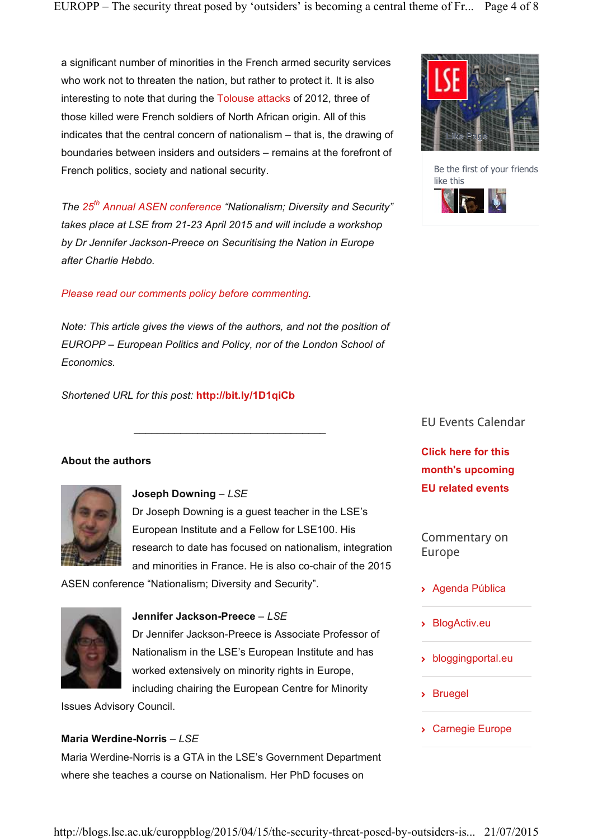a significant number of minorities in the French armed security services who work not to threaten the nation, but rather to protect it. It is also interesting to note that during the Tolouse attacks of 2012, three of those killed were French soldiers of North African origin. All of this indicates that the central concern of nationalism – that is, the drawing of boundaries between insiders and outsiders – remains at the forefront of French politics, society and national security.

*The 25th Annual ASEN conference "Nationalism; Diversity and Security" takes place at LSE from 21-23 April 2015 and will include a workshop by Dr Jennifer Jackson-Preece on Securitising the Nation in Europe after Charlie Hebdo.*

# *Please read our comments policy before commenting.*

*Note: This article gives the views of the authors, and not the position of EUROPP – European Politics and Policy, nor of the London School of Economics.*

\_\_\_\_\_\_\_\_\_\_\_\_\_\_\_\_\_\_\_\_\_\_\_\_\_\_\_\_\_\_\_\_\_

*Shortened URL for this post:* **http://bit.ly/1D1qiCb**

# **About the authors**



# **Joseph Downing** *– LSE*

Dr Joseph Downing is a guest teacher in the LSE's European Institute and a Fellow for LSE100. His research to date has focused on nationalism, integration and minorities in France. He is also co-chair of the 2015

ASEN conference "Nationalism; Diversity and Security".



# **Jennifer Jackson-Preece** *– LSE*

Dr Jennifer Jackson-Preece is Associate Professor of Nationalism in the LSE's European Institute and has worked extensively on minority rights in Europe, including chairing the European Centre for Minority

Issues Advisory Council.

# **Maria Werdine-Norris** *– LSE*

Maria Werdine-Norris is a GTA in the LSE's Government Department where she teaches a course on Nationalism. Her PhD focuses on



Be the first of your friends like this



EU Events Calendar

**Click here for this month's upcoming EU related events**

Commentary on Europe

- Agenda Pública
- BlogActiv.eu
- bloggingportal.eu
- Bruegel
- Carnegie Europe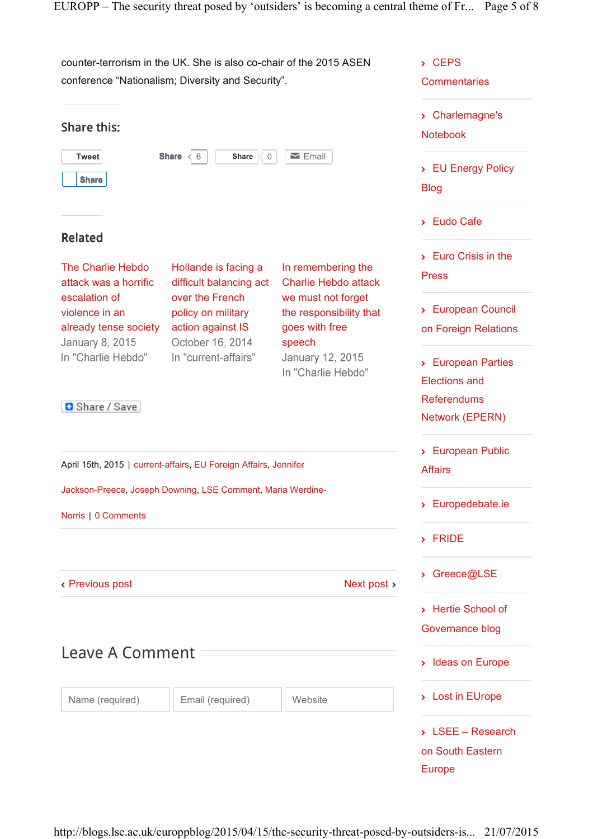counter-terrorism in the UK. She is also co-chair of the 2015 ASEN - CEPS conference "Nationalism; Diversity and Security". **Commentaries** - Charlemagne's Share this: Notebook **Tweet Share**  $\langle 6 |$  **Share**  $\langle 0 |$ **Solution** Email > EU Energy Policy **Share** Blog - Eudo Cafe Related - Euro Crisis in the The Charlie Hebdo Hollande is facing a In remembering the Press attack was a horrific difficult balancing act Charlie Hebdo attack escalation of over the French we must not forget - European Council violence in an policy on military the responsibility that already tense society action against IS goes with free on Foreign Relations **January 8, 2015** October 16, 2014 speech In "Charlie Hebdo" In "current-affairs" January 12, 2015 - European Parties In "Charlie Hebdo" Elections and **Referendums B** Share / Save Network (EPERN) > European Public April 15th, 2015 | current-affairs, EU Foreign Affairs, Jennifer Affairs Jackson-Preece, Joseph Downing, LSE Comment, Maria Werdine-- Europedebate.ie Norris | 0 Comments - FRIDE - Greece@LSE Previous post Next post > - Hertie School of Governance blog Leave A Comment - Ideas on Europe - Lost in EUrope Name (required) | Email (required) | Website - LSEE – Research on South Eastern Europe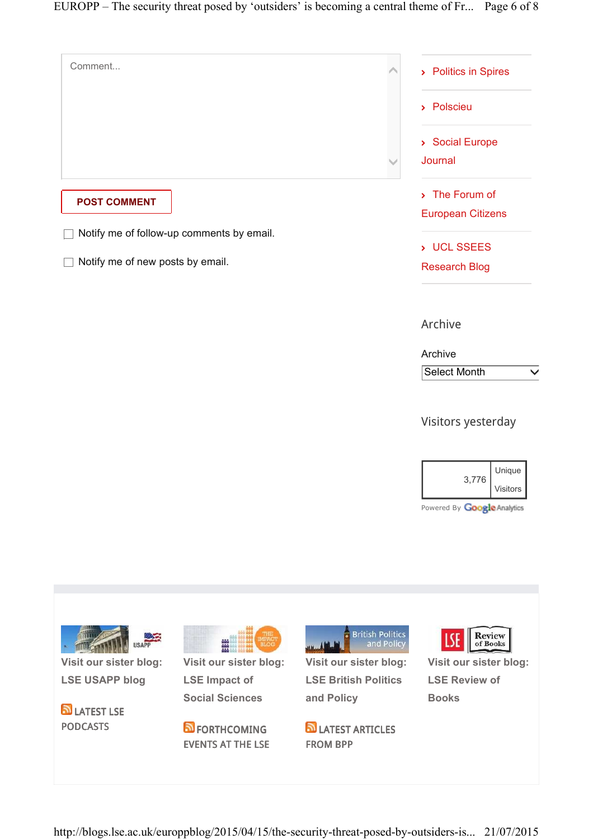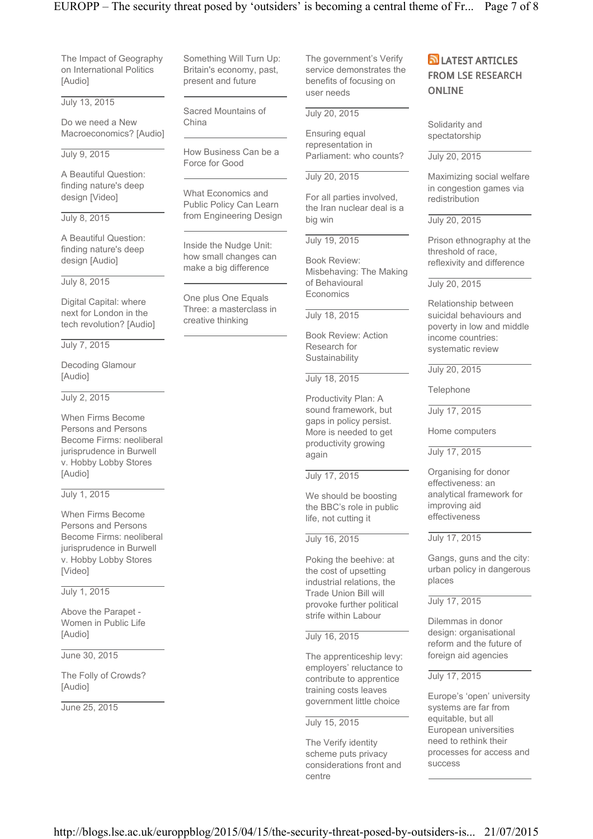# EUROPP – The security threat posed by 'outsiders' is becoming a central theme of Fr... Page 7 of 8

The Impact of Geography on International Politics [Audio]

July 13, 2015

Do we need a New Macroeconomics? [Audio]

# July 9, 2015

A Beautiful Question: finding nature's deep design [Video]

## July 8, 2015

A Beautiful Question: finding nature's deep design [Audio]

## July 8, 2015

Digital Capital: where next for London in the tech revolution? [Audio]

#### July 7, 2015

Decoding Glamour [Audio]

## July 2, 2015

When Firms Become Persons and Persons Become Firms: neoliberal jurisprudence in Burwell v. Hobby Lobby Stores [Audio]

#### July 1, 2015

When Firms Become Persons and Persons Become Firms: neoliberal jurisprudence in Burwell v. Hobby Lobby Stores [Video]

# July 1, 2015

Above the Parapet - Women in Public Life [Audio]

## June 30, 2015

The Folly of Crowds? [Audio]

June 25, 2015

Something Will Turn Up: Britain's economy, past, present and future

Sacred Mountains of China

How Business Can be a Force for Good

What Economics and Public Policy Can Learn from Engineering Design

Inside the Nudge Unit: how small changes can make a big difference

One plus One Equals Three: a masterclass in creative thinking

The government's Verify service demonstrates the benefits of focusing on user needs

## July 20, 2015

Ensuring equal representation in Parliament: who counts?

## July 20, 2015

For all parties involved, the Iran nuclear deal is a big win

## July 19, 2015

Book Review: Misbehaving: The Making of Behavioural **Economics** 

July 18, 2015

Book Review: Action Research for **Sustainability** 

#### July 18, 2015

Productivity Plan: A sound framework, but gaps in policy persist. More is needed to get productivity growing again

## July 17, 2015

We should be boosting the BBC's role in public life, not cutting it

## July 16, 2015

Poking the beehive: at the cost of upsetting industrial relations, the Trade Union Bill will provoke further political strife within Labour

## July 16, 2015

The apprenticeship levy: employers' reluctance to contribute to apprentice training costs leaves government little choice

# July 15, 2015

The Verify identity scheme puts privacy considerations front and centre

# **D** LATEST ARTICLES FROM LSE RESEARCH ONLINE

Solidarity and spectatorship

#### July 20, 2015

Maximizing social welfare in congestion games via redistribution

#### July 20, 2015

Prison ethnography at the threshold of race, reflexivity and difference

#### July 20, 2015

Relationship between suicidal behaviours and poverty in low and middle income countries: systematic review

## July 20, 2015

Telephone

July 17, 2015

Home computers

July 17, 2015

Organising for donor effectiveness: an analytical framework for improving aid effectiveness

#### July 17, 2015

Gangs, guns and the city: urban policy in dangerous places

#### July 17, 2015

Dilemmas in donor design: organisational reform and the future of foreign aid agencies

#### July 17, 2015

Europe's 'open' university systems are far from equitable, but all European universities need to rethink their processes for access and success